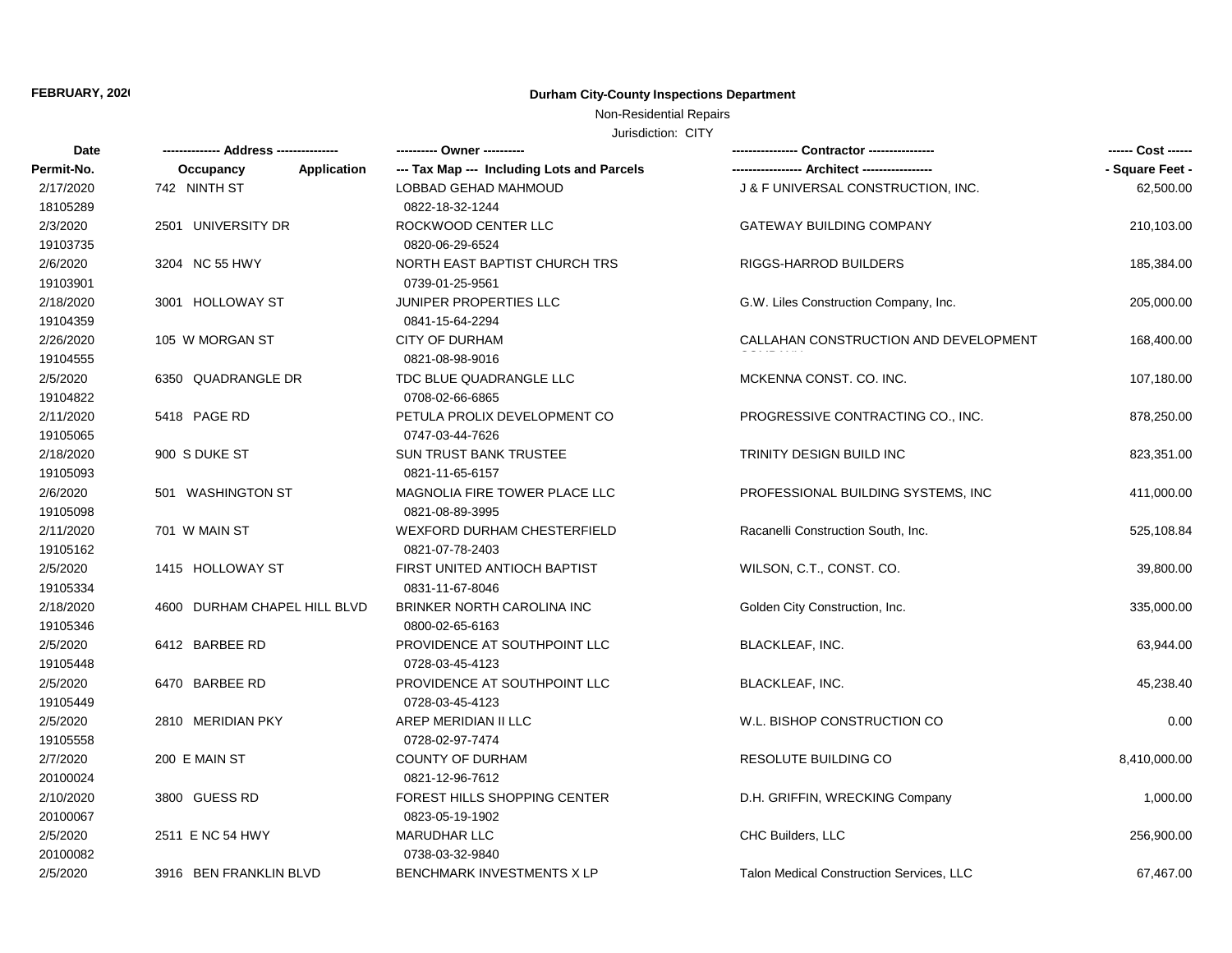# Non-Residential Repairs

| Date       |                              | --------- Owner ----------                 |                                                 | ------ Cost ------ |
|------------|------------------------------|--------------------------------------------|-------------------------------------------------|--------------------|
| Permit-No. | Application<br>Occupancy     | --- Tax Map --- Including Lots and Parcels |                                                 | - Square Feet -    |
| 2/17/2020  | 742 NINTH ST                 | LOBBAD GEHAD MAHMOUD                       | J & F UNIVERSAL CONSTRUCTION, INC.              | 62,500.00          |
| 18105289   |                              | 0822-18-32-1244                            |                                                 |                    |
| 2/3/2020   | 2501 UNIVERSITY DR           | ROCKWOOD CENTER LLC                        | <b>GATEWAY BUILDING COMPANY</b>                 | 210,103.00         |
| 19103735   |                              | 0820-06-29-6524                            |                                                 |                    |
| 2/6/2020   | 3204 NC 55 HWY               | <b>NORTH EAST BAPTIST CHURCH TRS</b>       | RIGGS-HARROD BUILDERS                           | 185,384.00         |
| 19103901   |                              | 0739-01-25-9561                            |                                                 |                    |
| 2/18/2020  | 3001 HOLLOWAY ST             | <b>JUNIPER PROPERTIES LLC</b>              | G.W. Liles Construction Company, Inc.           | 205,000.00         |
| 19104359   |                              | 0841-15-64-2294                            |                                                 |                    |
| 2/26/2020  | 105 W MORGAN ST              | <b>CITY OF DURHAM</b>                      | CALLAHAN CONSTRUCTION AND DEVELOPMENT           | 168,400.00         |
| 19104555   |                              | 0821-08-98-9016                            |                                                 |                    |
| 2/5/2020   | 6350 QUADRANGLE DR           | TDC BLUE QUADRANGLE LLC                    | MCKENNA CONST, CO. INC.                         | 107,180.00         |
| 19104822   |                              | 0708-02-66-6865                            |                                                 |                    |
| 2/11/2020  | 5418 PAGE RD                 | PETULA PROLIX DEVELOPMENT CO               | PROGRESSIVE CONTRACTING CO., INC.               | 878,250.00         |
| 19105065   |                              | 0747-03-44-7626                            |                                                 |                    |
| 2/18/2020  | 900 S DUKE ST                | <b>SUN TRUST BANK TRUSTEE</b>              | TRINITY DESIGN BUILD INC                        | 823,351.00         |
| 19105093   |                              | 0821-11-65-6157                            |                                                 |                    |
| 2/6/2020   | 501 WASHINGTON ST            | MAGNOLIA FIRE TOWER PLACE LLC              | PROFESSIONAL BUILDING SYSTEMS, INC.             | 411,000.00         |
| 19105098   |                              | 0821-08-89-3995                            |                                                 |                    |
| 2/11/2020  | 701 W MAIN ST                | <b>WEXFORD DURHAM CHESTERFIELD</b>         | Racanelli Construction South, Inc.              | 525,108.84         |
| 19105162   |                              | 0821-07-78-2403                            |                                                 |                    |
| 2/5/2020   | 1415 HOLLOWAY ST             | FIRST UNITED ANTIOCH BAPTIST               | WILSON, C.T., CONST. CO.                        | 39,800.00          |
| 19105334   |                              | 0831-11-67-8046                            |                                                 |                    |
| 2/18/2020  | 4600 DURHAM CHAPEL HILL BLVD | BRINKER NORTH CAROLINA INC                 | Golden City Construction, Inc.                  | 335,000.00         |
| 19105346   |                              | 0800-02-65-6163                            |                                                 |                    |
| 2/5/2020   | 6412 BARBEE RD               | PROVIDENCE AT SOUTHPOINT LLC               | <b>BLACKLEAF, INC.</b>                          | 63,944.00          |
| 19105448   |                              | 0728-03-45-4123                            |                                                 |                    |
| 2/5/2020   | 6470 BARBEE RD               | PROVIDENCE AT SOUTHPOINT LLC               | <b>BLACKLEAF, INC.</b>                          | 45,238.40          |
| 19105449   |                              | 0728-03-45-4123                            |                                                 |                    |
| 2/5/2020   | 2810 MERIDIAN PKY            | AREP MERIDIAN II LLC                       | W.L. BISHOP CONSTRUCTION CO                     | 0.00               |
| 19105558   |                              | 0728-02-97-7474                            |                                                 |                    |
| 2/7/2020   | 200 E MAIN ST                | <b>COUNTY OF DURHAM</b>                    | <b>RESOLUTE BUILDING CO</b>                     | 8,410,000.00       |
| 20100024   |                              | 0821-12-96-7612                            |                                                 |                    |
| 2/10/2020  | 3800 GUESS RD                | FOREST HILLS SHOPPING CENTER               | D.H. GRIFFIN, WRECKING Company                  | 1,000.00           |
| 20100067   |                              | 0823-05-19-1902                            |                                                 |                    |
| 2/5/2020   | 2511 E NC 54 HWY             | <b>MARUDHAR LLC</b>                        | CHC Builders, LLC                               | 256,900.00         |
| 20100082   |                              | 0738-03-32-9840                            |                                                 |                    |
| 2/5/2020   | 3916 BEN FRANKLIN BLVD       | <b>BENCHMARK INVESTMENTS X LP</b>          | <b>Talon Medical Construction Services, LLC</b> | 67,467.00          |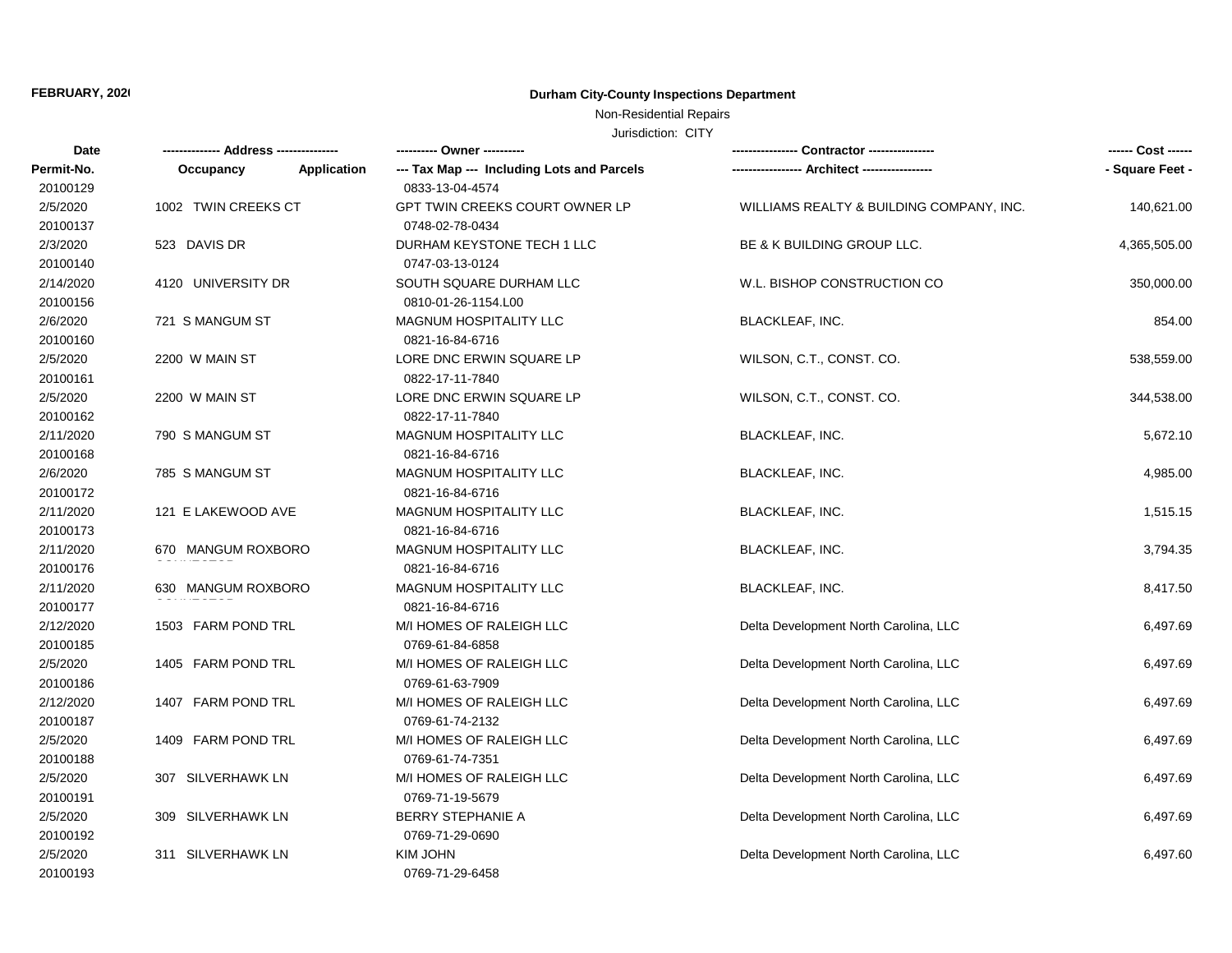# Non-Residential Repairs

| Date       |                     | ---------- Owner ----------                               |                                          | ------ Cost ------ |
|------------|---------------------|-----------------------------------------------------------|------------------------------------------|--------------------|
| Permit-No. | Occupancy           | --- Tax Map --- Including Lots and Parcels<br>Application |                                          | - Square Feet -    |
| 20100129   |                     | 0833-13-04-4574                                           |                                          |                    |
| 2/5/2020   | 1002 TWIN CREEKS CT | GPT TWIN CREEKS COURT OWNER LP                            | WILLIAMS REALTY & BUILDING COMPANY, INC. | 140,621.00         |
| 20100137   |                     | 0748-02-78-0434                                           |                                          |                    |
| 2/3/2020   | 523 DAVIS DR        | DURHAM KEYSTONE TECH 1 LLC                                | BE & K BUILDING GROUP LLC.               | 4,365,505.00       |
| 20100140   |                     | 0747-03-13-0124                                           |                                          |                    |
| 2/14/2020  | 4120 UNIVERSITY DR  | SOUTH SQUARE DURHAM LLC                                   | W.L. BISHOP CONSTRUCTION CO              | 350,000.00         |
| 20100156   |                     | 0810-01-26-1154.L00                                       |                                          |                    |
| 2/6/2020   | 721 S MANGUM ST     | MAGNUM HOSPITALITY LLC                                    | <b>BLACKLEAF, INC.</b>                   | 854.00             |
| 20100160   |                     | 0821-16-84-6716                                           |                                          |                    |
| 2/5/2020   | 2200 W MAIN ST      | LORE DNC ERWIN SQUARE LP                                  | WILSON, C.T., CONST. CO.                 | 538,559.00         |
| 20100161   |                     | 0822-17-11-7840                                           |                                          |                    |
| 2/5/2020   | 2200 W MAIN ST      | LORE DNC ERWIN SQUARE LP                                  | WILSON, C.T., CONST. CO.                 | 344,538.00         |
| 20100162   |                     | 0822-17-11-7840                                           |                                          |                    |
| 2/11/2020  | 790 S MANGUM ST     | <b>MAGNUM HOSPITALITY LLC</b>                             | BLACKLEAF, INC.                          | 5,672.10           |
| 20100168   |                     | 0821-16-84-6716                                           |                                          |                    |
| 2/6/2020   | 785 S MANGUM ST     | <b>MAGNUM HOSPITALITY LLC</b>                             | <b>BLACKLEAF, INC.</b>                   | 4,985.00           |
| 20100172   |                     | 0821-16-84-6716                                           |                                          |                    |
| 2/11/2020  | 121 E LAKEWOOD AVE  | <b>MAGNUM HOSPITALITY LLC</b>                             | BLACKLEAF, INC.                          | 1,515.15           |
| 20100173   |                     | 0821-16-84-6716                                           |                                          |                    |
| 2/11/2020  | 670 MANGUM ROXBORO  | <b>MAGNUM HOSPITALITY LLC</b>                             | BLACKLEAF, INC.                          | 3,794.35           |
| 20100176   |                     | 0821-16-84-6716                                           |                                          |                    |
| 2/11/2020  | 630 MANGUM ROXBORO  | MAGNUM HOSPITALITY LLC                                    | <b>BLACKLEAF, INC.</b>                   | 8,417.50           |
| 20100177   |                     | 0821-16-84-6716                                           |                                          |                    |
| 2/12/2020  | 1503 FARM POND TRL  | M/I HOMES OF RALEIGH LLC                                  | Delta Development North Carolina, LLC    | 6,497.69           |
| 20100185   |                     | 0769-61-84-6858                                           |                                          |                    |
| 2/5/2020   | 1405 FARM POND TRL  | M/I HOMES OF RALEIGH LLC                                  | Delta Development North Carolina, LLC    | 6,497.69           |
| 20100186   |                     | 0769-61-63-7909                                           |                                          |                    |
| 2/12/2020  | 1407 FARM POND TRL  | M/I HOMES OF RALEIGH LLC                                  | Delta Development North Carolina, LLC    | 6,497.69           |
| 20100187   |                     | 0769-61-74-2132                                           |                                          |                    |
| 2/5/2020   | 1409 FARM POND TRL  | M/I HOMES OF RALEIGH LLC                                  | Delta Development North Carolina, LLC    | 6,497.69           |
| 20100188   |                     | 0769-61-74-7351                                           |                                          |                    |
| 2/5/2020   | 307 SILVERHAWK LN   | M/I HOMES OF RALEIGH LLC                                  | Delta Development North Carolina, LLC    | 6,497.69           |
| 20100191   |                     | 0769-71-19-5679                                           |                                          |                    |
| 2/5/2020   | 309 SILVERHAWK LN   | BERRY STEPHANIE A                                         | Delta Development North Carolina, LLC    | 6,497.69           |
| 20100192   |                     | 0769-71-29-0690                                           |                                          |                    |
| 2/5/2020   | 311 SILVERHAWK LN   | <b>KIM JOHN</b>                                           | Delta Development North Carolina, LLC    | 6,497.60           |
| 20100193   |                     | 0769-71-29-6458                                           |                                          |                    |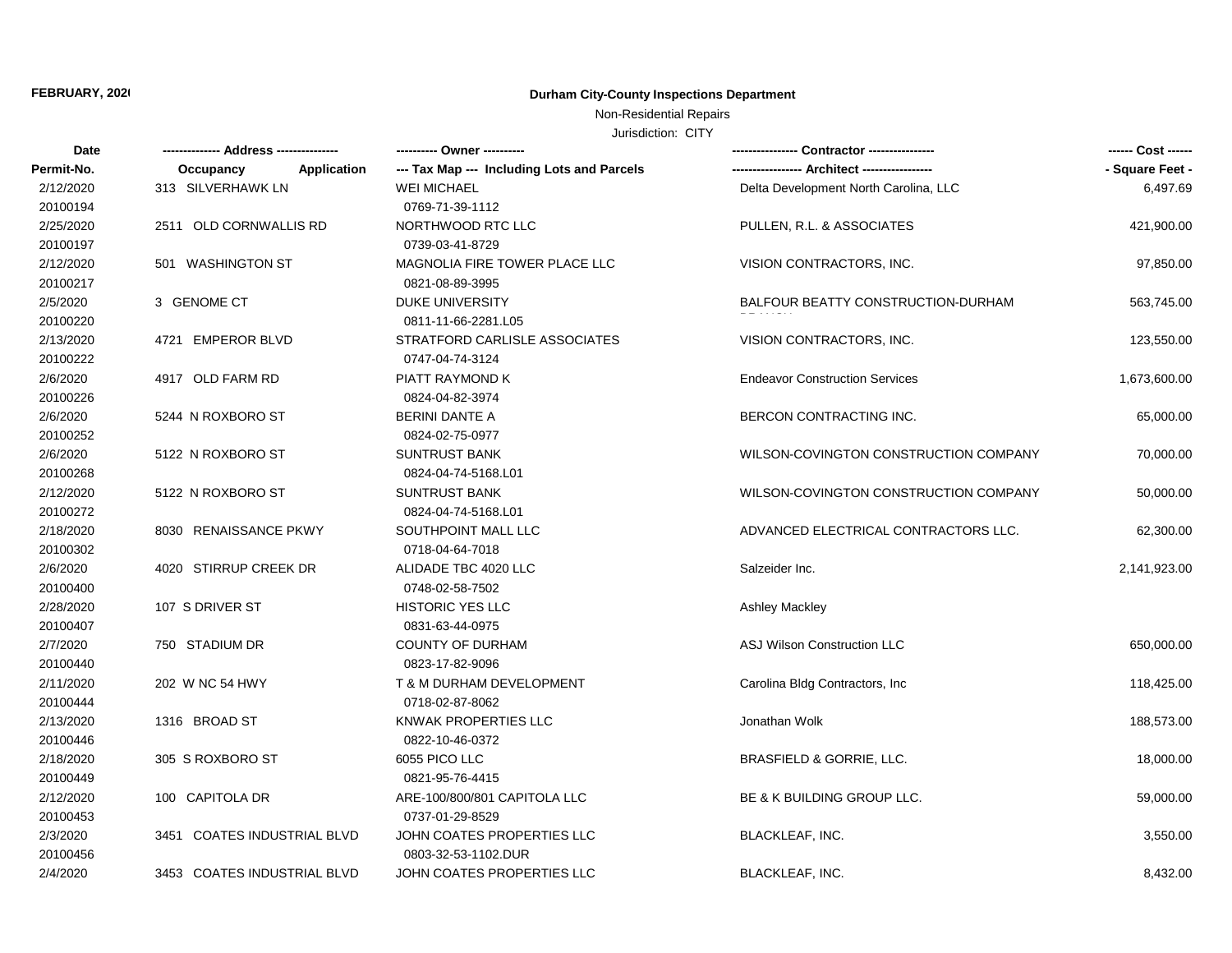# Non-Residential Repairs

| Date       |                                 | ---------- Owner ----------                |                                       | ------ Cost ------ |
|------------|---------------------------------|--------------------------------------------|---------------------------------------|--------------------|
| Permit-No. | <b>Application</b><br>Occupancy | --- Tax Map --- Including Lots and Parcels |                                       | - Square Feet -    |
| 2/12/2020  | 313 SILVERHAWK LN               | <b>WEI MICHAEL</b>                         | Delta Development North Carolina, LLC | 6,497.69           |
| 20100194   |                                 | 0769-71-39-1112                            |                                       |                    |
| 2/25/2020  | 2511 OLD CORNWALLIS RD          | NORTHWOOD RTC LLC                          | PULLEN, R.L. & ASSOCIATES             | 421,900.00         |
| 20100197   |                                 | 0739-03-41-8729                            |                                       |                    |
| 2/12/2020  | 501 WASHINGTON ST               | MAGNOLIA FIRE TOWER PLACE LLC              | VISION CONTRACTORS, INC.              | 97,850.00          |
| 20100217   |                                 | 0821-08-89-3995                            |                                       |                    |
| 2/5/2020   | 3 GENOME CT                     | <b>DUKE UNIVERSITY</b>                     | BALFOUR BEATTY CONSTRUCTION-DURHAM    | 563,745.00         |
| 20100220   |                                 | 0811-11-66-2281.L05                        |                                       |                    |
| 2/13/2020  | 4721 EMPEROR BLVD               | STRATFORD CARLISLE ASSOCIATES              | VISION CONTRACTORS, INC.              | 123,550.00         |
| 20100222   |                                 | 0747-04-74-3124                            |                                       |                    |
| 2/6/2020   | 4917 OLD FARM RD                | PIATT RAYMOND K                            | <b>Endeavor Construction Services</b> | 1,673,600.00       |
| 20100226   |                                 | 0824-04-82-3974                            |                                       |                    |
| 2/6/2020   | 5244 N ROXBORO ST               | <b>BERINI DANTE A</b>                      | BERCON CONTRACTING INC.               | 65,000.00          |
| 20100252   |                                 | 0824-02-75-0977                            |                                       |                    |
| 2/6/2020   | 5122 N ROXBORO ST               | <b>SUNTRUST BANK</b>                       | WILSON-COVINGTON CONSTRUCTION COMPANY | 70,000.00          |
| 20100268   |                                 | 0824-04-74-5168.L01                        |                                       |                    |
| 2/12/2020  | 5122 N ROXBORO ST               | SUNTRUST BANK                              | WILSON-COVINGTON CONSTRUCTION COMPANY | 50,000.00          |
| 20100272   |                                 | 0824-04-74-5168.L01                        |                                       |                    |
| 2/18/2020  | 8030 RENAISSANCE PKWY           | SOUTHPOINT MALL LLC                        | ADVANCED ELECTRICAL CONTRACTORS LLC.  | 62,300.00          |
| 20100302   |                                 | 0718-04-64-7018                            |                                       |                    |
| 2/6/2020   | 4020 STIRRUP CREEK DR           | ALIDADE TBC 4020 LLC                       | Salzeider Inc.                        | 2,141,923.00       |
| 20100400   |                                 | 0748-02-58-7502                            |                                       |                    |
| 2/28/2020  | 107 S DRIVER ST                 | <b>HISTORIC YES LLC</b>                    | <b>Ashley Mackley</b>                 |                    |
| 20100407   |                                 | 0831-63-44-0975                            |                                       |                    |
| 2/7/2020   | 750 STADIUM DR                  | <b>COUNTY OF DURHAM</b>                    | ASJ Wilson Construction LLC           | 650,000.00         |
| 20100440   |                                 | 0823-17-82-9096                            |                                       |                    |
| 2/11/2020  | 202 W NC 54 HWY                 | T & M DURHAM DEVELOPMENT                   | Carolina Bldg Contractors, Inc.       | 118,425.00         |
| 20100444   |                                 | 0718-02-87-8062                            |                                       |                    |
| 2/13/2020  | 1316 BROAD ST                   | KNWAK PROPERTIES LLC                       | Jonathan Wolk                         | 188,573.00         |
| 20100446   |                                 | 0822-10-46-0372                            |                                       |                    |
| 2/18/2020  | 305 S ROXBORO ST                | 6055 PICO LLC                              | <b>BRASFIELD &amp; GORRIE, LLC.</b>   | 18,000.00          |
| 20100449   |                                 | 0821-95-76-4415                            |                                       |                    |
| 2/12/2020  | 100 CAPITOLA DR                 | ARE-100/800/801 CAPITOLA LLC               | BE & K BUILDING GROUP LLC.            | 59,000.00          |
| 20100453   |                                 | 0737-01-29-8529                            |                                       |                    |
| 2/3/2020   | 3451 COATES INDUSTRIAL BLVD     | JOHN COATES PROPERTIES LLC                 | <b>BLACKLEAF, INC.</b>                | 3,550.00           |
| 20100456   |                                 | 0803-32-53-1102.DUR                        |                                       |                    |
| 2/4/2020   | 3453 COATES INDUSTRIAL BLVD     | JOHN COATES PROPERTIES LLC                 | <b>BLACKLEAF, INC.</b>                | 8,432.00           |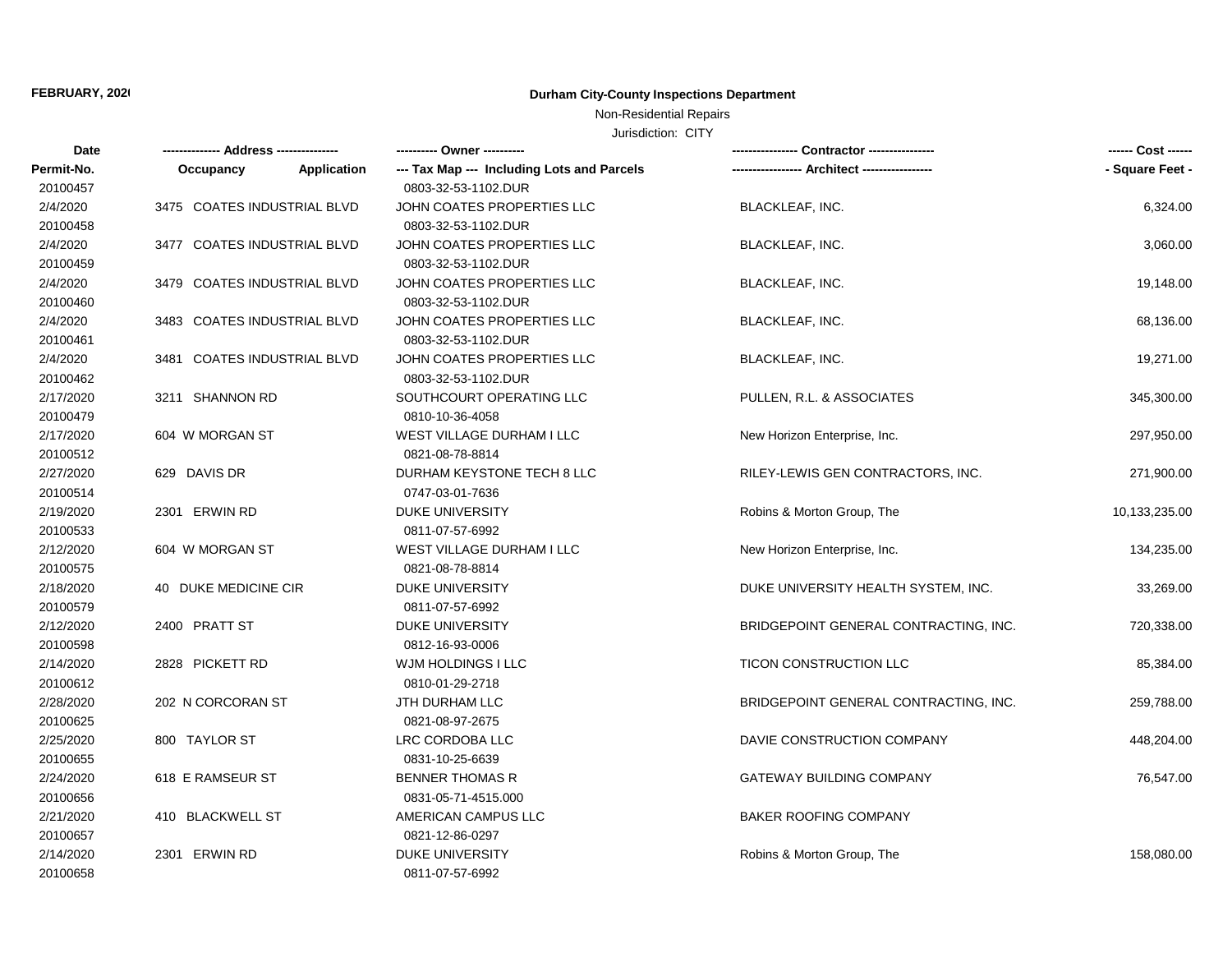# Non-Residential Repairs

| Date       |                             |             | ---------- Owner ----------                |                                       | ------ Cost ------ |
|------------|-----------------------------|-------------|--------------------------------------------|---------------------------------------|--------------------|
| Permit-No. | Occupancy                   | Application | --- Tax Map --- Including Lots and Parcels |                                       | - Square Feet -    |
| 20100457   |                             |             | 0803-32-53-1102.DUR                        |                                       |                    |
| 2/4/2020   | 3475 COATES INDUSTRIAL BLVD |             | JOHN COATES PROPERTIES LLC                 | <b>BLACKLEAF, INC.</b>                | 6,324.00           |
| 20100458   |                             |             | 0803-32-53-1102.DUR                        |                                       |                    |
| 2/4/2020   | 3477 COATES INDUSTRIAL BLVD |             | JOHN COATES PROPERTIES LLC                 | <b>BLACKLEAF, INC.</b>                | 3,060.00           |
| 20100459   |                             |             | 0803-32-53-1102.DUR                        |                                       |                    |
| 2/4/2020   | 3479 COATES INDUSTRIAL BLVD |             | JOHN COATES PROPERTIES LLC                 | <b>BLACKLEAF, INC.</b>                | 19,148.00          |
| 20100460   |                             |             | 0803-32-53-1102.DUR                        |                                       |                    |
| 2/4/2020   | 3483 COATES INDUSTRIAL BLVD |             | JOHN COATES PROPERTIES LLC                 | BLACKLEAF, INC.                       | 68,136.00          |
| 20100461   |                             |             | 0803-32-53-1102.DUR                        |                                       |                    |
| 2/4/2020   | 3481 COATES INDUSTRIAL BLVD |             | JOHN COATES PROPERTIES LLC                 | <b>BLACKLEAF, INC.</b>                | 19,271.00          |
| 20100462   |                             |             | 0803-32-53-1102.DUR                        |                                       |                    |
| 2/17/2020  | 3211 SHANNON RD             |             | SOUTHCOURT OPERATING LLC                   | PULLEN, R.L. & ASSOCIATES             | 345,300.00         |
| 20100479   |                             |             | 0810-10-36-4058                            |                                       |                    |
| 2/17/2020  | 604 W MORGAN ST             |             | WEST VILLAGE DURHAM I LLC                  | New Horizon Enterprise, Inc.          | 297,950.00         |
| 20100512   |                             |             | 0821-08-78-8814                            |                                       |                    |
| 2/27/2020  | 629 DAVIS DR                |             | DURHAM KEYSTONE TECH 8 LLC                 | RILEY-LEWIS GEN CONTRACTORS, INC.     | 271,900.00         |
| 20100514   |                             |             | 0747-03-01-7636                            |                                       |                    |
| 2/19/2020  | 2301 ERWIN RD               |             | <b>DUKE UNIVERSITY</b>                     | Robins & Morton Group, The            | 10,133,235.00      |
| 20100533   |                             |             | 0811-07-57-6992                            |                                       |                    |
| 2/12/2020  | 604 W MORGAN ST             |             | <b>WEST VILLAGE DURHAM I LLC</b>           | New Horizon Enterprise, Inc.          | 134,235.00         |
| 20100575   |                             |             | 0821-08-78-8814                            |                                       |                    |
| 2/18/2020  | 40 DUKE MEDICINE CIR        |             | <b>DUKE UNIVERSITY</b>                     | DUKE UNIVERSITY HEALTH SYSTEM, INC.   | 33,269.00          |
| 20100579   |                             |             | 0811-07-57-6992                            |                                       |                    |
| 2/12/2020  | 2400 PRATT ST               |             | <b>DUKE UNIVERSITY</b>                     | BRIDGEPOINT GENERAL CONTRACTING, INC. | 720,338.00         |
| 20100598   |                             |             | 0812-16-93-0006                            |                                       |                    |
| 2/14/2020  | 2828 PICKETT RD             |             | WJM HOLDINGS I LLC                         | TICON CONSTRUCTION LLC                | 85,384.00          |
| 20100612   |                             |             | 0810-01-29-2718                            |                                       |                    |
| 2/28/2020  | 202 N CORCORAN ST           |             | JTH DURHAM LLC                             | BRIDGEPOINT GENERAL CONTRACTING, INC. | 259,788.00         |
| 20100625   |                             |             | 0821-08-97-2675                            |                                       |                    |
| 2/25/2020  | 800 TAYLOR ST               |             | LRC CORDOBA LLC                            | DAVIE CONSTRUCTION COMPANY            | 448,204.00         |
| 20100655   |                             |             | 0831-10-25-6639                            |                                       |                    |
| 2/24/2020  | 618 E RAMSEUR ST            |             | <b>BENNER THOMAS R</b>                     | <b>GATEWAY BUILDING COMPANY</b>       | 76,547.00          |
| 20100656   |                             |             | 0831-05-71-4515.000                        |                                       |                    |
| 2/21/2020  | 410 BLACKWELL ST            |             | AMERICAN CAMPUS LLC                        | <b>BAKER ROOFING COMPANY</b>          |                    |
| 20100657   |                             |             | 0821-12-86-0297                            |                                       |                    |
| 2/14/2020  | 2301 ERWIN RD               |             | <b>DUKE UNIVERSITY</b>                     | Robins & Morton Group, The            | 158,080.00         |
| 20100658   |                             |             | 0811-07-57-6992                            |                                       |                    |